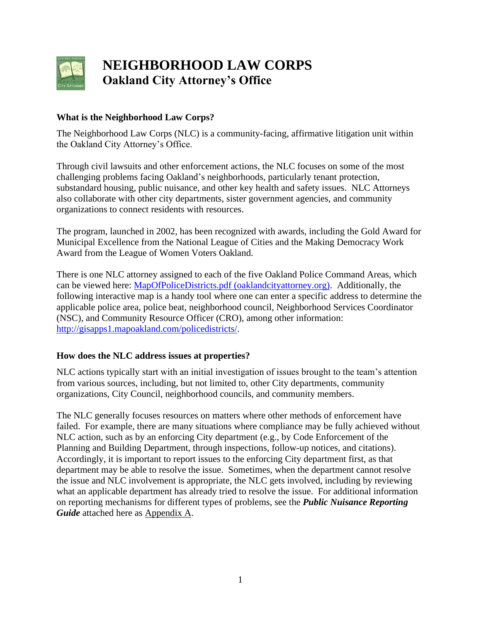

# **NEIGHBORHOOD LAW CORPS Oakland City Attorney's Office**

#### **What is the Neighborhood Law Corps?**

The Neighborhood Law Corps (NLC) is a community-facing, affirmative litigation unit within the Oakland City Attorney's Office.

Through civil lawsuits and other enforcement actions, the NLC focuses on some of the most challenging problems facing Oakland's neighborhoods, particularly tenant protection, substandard housing, public nuisance, and other key health and safety issues. NLC Attorneys also collaborate with other city departments, sister government agencies, and community organizations to connect residents with resources.

The program, launched in 2002, has been recognized with awards, including the Gold Award for Municipal Excellence from the National League of Cities and the Making Democracy Work Award from the League of Women Voters Oakland.

There is one NLC attorney assigned to each of the five Oakland Police Command Areas, which can be viewed here: [MapOfPoliceDistricts.pdf \(oaklandcityattorney.org\).](https://www.oaklandcityattorney.org/images/MapOfPoliceDistricts.pdf) Additionally, the following interactive map is a handy tool where one can enter a specific address to determine the applicable police area, police beat, neighborhood council, Neighborhood Services Coordinator (NSC), and Community Resource Officer (CRO), among other information: [http://gisapps1.mapoakland.com/policedistricts/.](http://gisapps1.mapoakland.com/policedistricts/)

#### **How does the NLC address issues at properties?**

NLC actions typically start with an initial investigation of issues brought to the team's attention from various sources, including, but not limited to, other City departments, community organizations, City Council, neighborhood councils, and community members.

The NLC generally focuses resources on matters where other methods of enforcement have failed. For example, there are many situations where compliance may be fully achieved without NLC action, such as by an enforcing City department (e.g., by Code Enforcement of the Planning and Building Department, through inspections, follow-up notices, and citations). Accordingly, it is important to report issues to the enforcing City department first, as that department may be able to resolve the issue. Sometimes, when the department cannot resolve the issue and NLC involvement is appropriate, the NLC gets involved, including by reviewing what an applicable department has already tried to resolve the issue. For additional information on reporting mechanisms for different types of problems, see the *Public Nuisance Reporting Guide* attached here as Appendix A.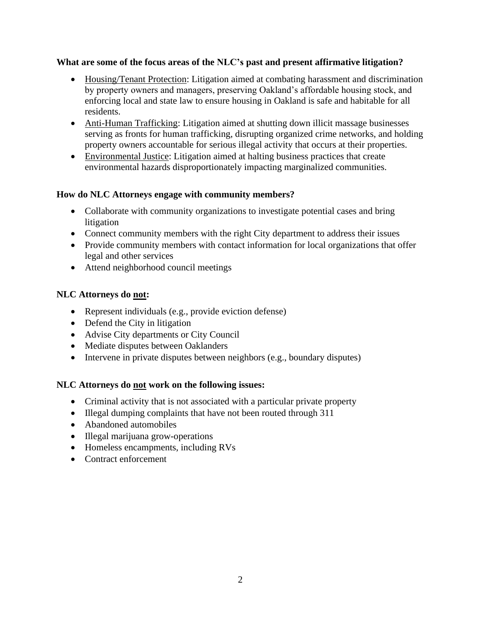#### **What are some of the focus areas of the NLC's past and present affirmative litigation?**

- Housing/Tenant Protection: Litigation aimed at combating harassment and discrimination by property owners and managers, preserving Oakland's affordable housing stock, and enforcing local and state law to ensure housing in Oakland is safe and habitable for all residents.
- Anti-Human Trafficking: Litigation aimed at shutting down illicit massage businesses serving as fronts for human trafficking, disrupting organized crime networks, and holding property owners accountable for serious illegal activity that occurs at their properties.
- Environmental Justice: Litigation aimed at halting business practices that create environmental hazards disproportionately impacting marginalized communities.

#### **How do NLC Attorneys engage with community members?**

- Collaborate with community organizations to investigate potential cases and bring litigation
- Connect community members with the right City department to address their issues
- Provide community members with contact information for local organizations that offer legal and other services
- Attend neighborhood council meetings

### **NLC Attorneys do not:**

- Represent individuals (e.g., provide eviction defense)
- Defend the City in litigation
- Advise City departments or City Council
- Mediate disputes between Oaklanders
- Intervene in private disputes between neighbors (e.g., boundary disputes)

# **NLC Attorneys do not work on the following issues:**

- Criminal activity that is not associated with a particular private property
- Illegal dumping complaints that have not been routed through 311
- Abandoned automobiles
- Illegal marijuana grow-operations
- Homeless encampments, including RVs
- Contract enforcement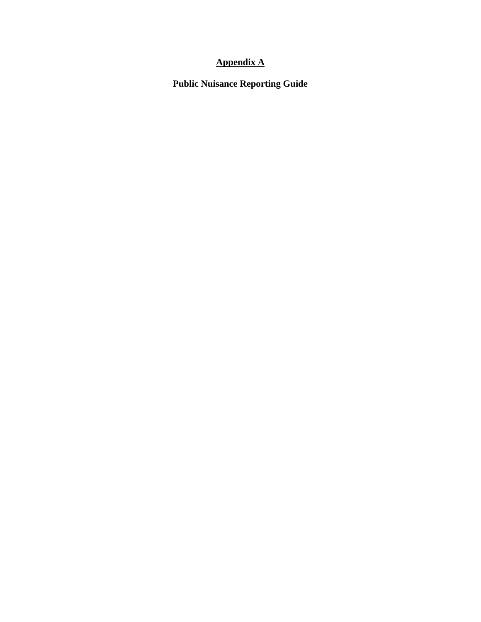# **Appendix A**

**Public Nuisance Reporting Guide**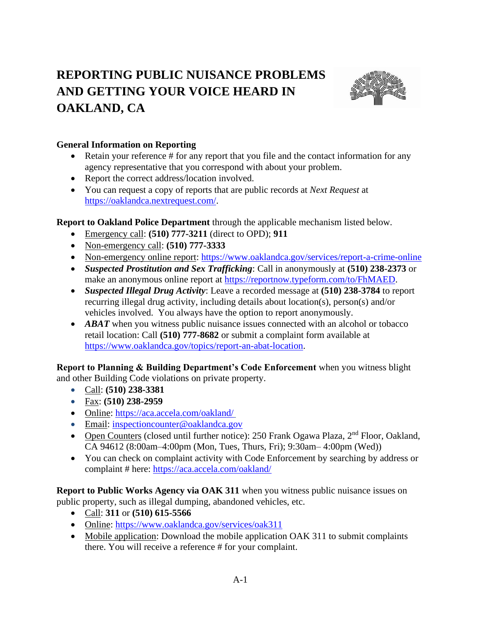# **REPORTING PUBLIC NUISANCE PROBLEMS AND GETTING YOUR VOICE HEARD IN OAKLAND, CA**



## **General Information on Reporting**

- Retain your reference # for any report that you file and the contact information for any agency representative that you correspond with about your problem.
- Report the correct address/location involved.
- You can request a copy of reports that are public records at *Next Request* at [https://oaklandca.nextrequest.com/.](https://oaklandca.nextrequest.com/)

**Report to Oakland Police Department** through the applicable mechanism listed below.

- Emergency call: **(510) 777-3211** (direct to OPD); **911**
- Non-emergency call: **(510) 777-3333**
- Non-emergency online report:<https://www.oaklandca.gov/services/report-a-crime-online>
- *Suspected Prostitution and Sex Trafficking*: Call in anonymously at **(510) 238-2373** or make an anonymous online report at [https://reportnow.typeform.com/to/FhMAED.](https://reportnow.typeform.com/to/FhMAED)
- *Suspected Illegal Drug Activity*: Leave a recorded message at **(510) 238-3784** to report recurring illegal drug activity, including details about location(s), person(s) and/or vehicles involved. You always have the option to report anonymously.
- *ABAT* when you witness public nuisance issues connected with an alcohol or tobacco retail location: Call **(510) 777-8682** or submit a complaint form available at [https://www.oaklandca.gov/topics/report-an-abat-location.](https://www.oaklandca.gov/topics/report-an-abat-location)

**Report to Planning & Building Department's Code Enforcement** when you witness blight and other Building Code violations on private property.

- Call: **(510) 238-3381**
- Fax: **(510) 238-2959**
- Online: [https://aca.accela.com/oakland/](https://aca.accela.com/oakland/ )
- Email: [inspectioncounter@oaklandca.gov](mailto:inspectioncounter@oaklandca.gov)
- Open Counters (closed until further notice): 250 Frank Ogawa Plaza, 2<sup>nd</sup> Floor, Oakland, CA 94612 (8:00am–4:00pm (Mon, Tues, Thurs, Fri); 9:30am– 4:00pm (Wed))
- You can check on complaint activity with Code Enforcement by searching by address or complaint # here:<https://aca.accela.com/oakland/>

**Report to Public Works Agency via OAK 311** when you witness public nuisance issues on public property, such as illegal dumping, abandoned vehicles, etc.

- Call: **311** or **(510) 615-5566**
- Online:<https://www.oaklandca.gov/services/oak311>
- Mobile application: Download the mobile application OAK 311 to submit complaints there. You will receive a reference # for your complaint.